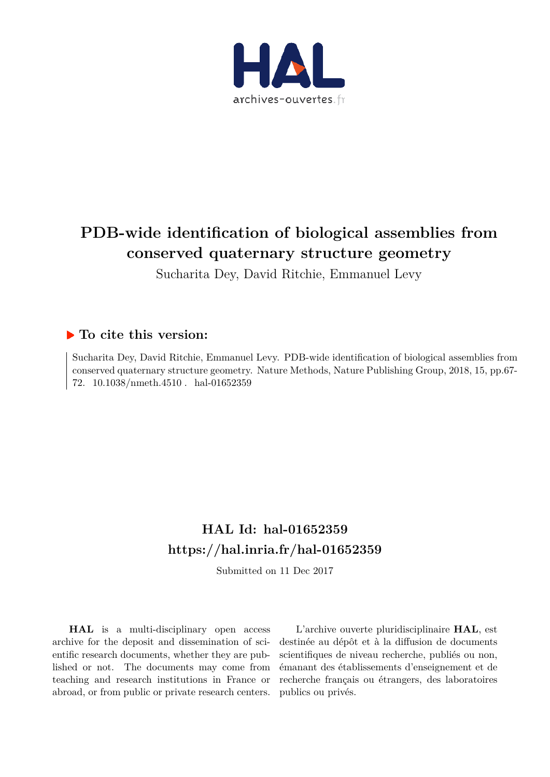

# **PDB-wide identification of biological assemblies from conserved quaternary structure geometry**

Sucharita Dey, David Ritchie, Emmanuel Levy

## **To cite this version:**

Sucharita Dey, David Ritchie, Emmanuel Levy. PDB-wide identification of biological assemblies from conserved quaternary structure geometry. Nature Methods, Nature Publishing Group, 2018, 15, pp.67- 72. 10.1038/nmeth.4510. hal-01652359

# **HAL Id: hal-01652359 https://hal.inria.fr/hal-01652359**

Submitted on 11 Dec 2017

**HAL** is a multi-disciplinary open access archive for the deposit and dissemination of scientific research documents, whether they are published or not. The documents may come from teaching and research institutions in France or abroad, or from public or private research centers.

L'archive ouverte pluridisciplinaire **HAL**, est destinée au dépôt et à la diffusion de documents scientifiques de niveau recherche, publiés ou non, émanant des établissements d'enseignement et de recherche français ou étrangers, des laboratoires publics ou privés.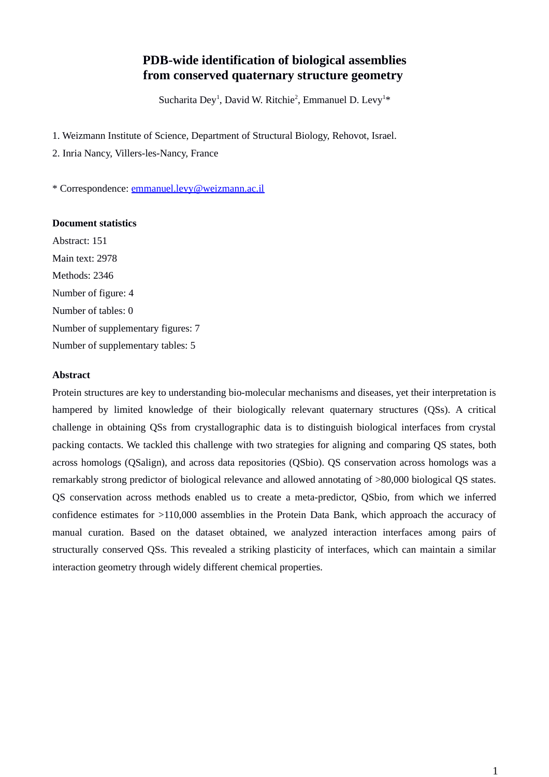## **PDB-wide identification of biological assemblies from conserved quaternary structure geometry**

Sucharita Dey<sup>1</sup>, David W. Ritchie<sup>2</sup>, Emmanuel D. Levy<sup>1\*</sup>

1. Weizmann Institute of Science, Department of Structural Biology, Rehovot, Israel.

2. Inria Nancy, Villers-les-Nancy, France

\* Correspondence: emmanuel.levy@weizmann.ac.il

### **Document statistics**

Abstract: 151 Main text: 2978 Methods: 2346 Number of figure: 4 Number of tables: 0 Number of supplementary figures: 7 Number of supplementary tables: 5

### **Abstract**

Protein structures are key to understanding bio-molecular mechanisms and diseases, yet their interpretation is hampered by limited knowledge of their biologically relevant quaternary structures (QSs). A critical challenge in obtaining QSs from crystallographic data is to distinguish biological interfaces from crystal packing contacts. We tackled this challenge with two strategies for aligning and comparing QS states, both across homologs (QSalign), and across data repositories (QSbio). QS conservation across homologs was a remarkably strong predictor of biological relevance and allowed annotating of >80,000 biological QS states. QS conservation across methods enabled us to create a meta-predictor, QSbio, from which we inferred confidence estimates for >110,000 assemblies in the Protein Data Bank, which approach the accuracy of manual curation. Based on the dataset obtained, we analyzed interaction interfaces among pairs of structurally conserved QSs. This revealed a striking plasticity of interfaces, which can maintain a similar interaction geometry through widely different chemical properties.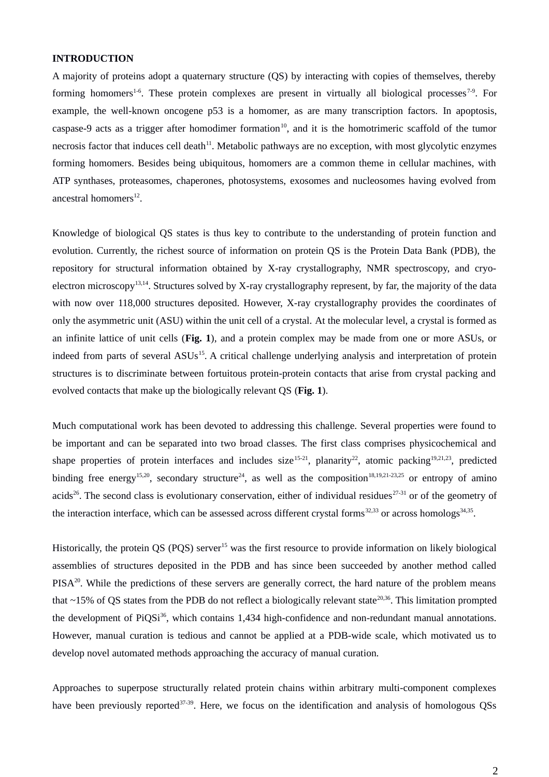### **INTRODUCTION**

A majority of proteins adopt a quaternary structure (QS) by interacting with copies of themselves, thereby forming homomers<sup>1-6</sup>. These protein complexes are present in virtually all biological processes<sup>7-9</sup>. For example, the well-known oncogene p53 is a homomer, as are many transcription factors. In apoptosis, caspase-9 acts as a trigger after homodimer formation<sup>10</sup>, and it is the homotrimeric scaffold of the tumor necrosis factor that induces cell death<sup>11</sup>. Metabolic pathways are no exception, with most glycolytic enzymes forming homomers. Besides being ubiquitous, homomers are a common theme in cellular machines, with ATP synthases, proteasomes, chaperones, photosystems, exosomes and nucleosomes having evolved from ancestral homomers $^{12}$ .

Knowledge of biological QS states is thus key to contribute to the understanding of protein function and evolution. Currently, the richest source of information on protein QS is the Protein Data Bank (PDB), the repository for structural information obtained by X-ray crystallography, NMR spectroscopy, and cryoelectron microscopy<sup>13,14</sup>. Structures solved by X-ray crystallography represent, by far, the majority of the data with now over 118,000 structures deposited. However, X-ray crystallography provides the coordinates of only the asymmetric unit (ASU) within the unit cell of a crystal. At the molecular level, a crystal is formed as an infinite lattice of unit cells (**Fig. 1**), and a protein complex may be made from one or more ASUs, or indeed from parts of several ASUs<sup>15</sup>. A critical challenge underlying analysis and interpretation of protein structures is to discriminate between fortuitous protein-protein contacts that arise from crystal packing and evolved contacts that make up the biologically relevant QS (**Fig. 1**).

Much computational work has been devoted to addressing this challenge. Several properties were found to be important and can be separated into two broad classes. The first class comprises physicochemical and shape properties of protein interfaces and includes size<sup>15-21</sup>, planarity<sup>22</sup>, atomic packing<sup>19,21,23</sup>, predicted binding free energy<sup>15,20</sup>, secondary structure<sup>24</sup>, as well as the composition<sup>18,19,21-23,25</sup> or entropy of amino acids<sup>26</sup>. The second class is evolutionary conservation, either of individual residues<sup>27-31</sup> or of the geometry of the interaction interface, which can be assessed across different crystal forms<sup>32,33</sup> or across homologs<sup>34,35</sup>.

Historically, the protein QS (PQS) server<sup>15</sup> was the first resource to provide information on likely biological assemblies of structures deposited in the PDB and has since been succeeded by another method called PISA<sup>20</sup>. While the predictions of these servers are generally correct, the hard nature of the problem means that  $\sim$ 15% of QS states from the PDB do not reflect a biologically relevant state<sup>20,36</sup>. This limitation prompted the development of PiQSi<sup>36</sup>, which contains 1,434 high-confidence and non-redundant manual annotations. However, manual curation is tedious and cannot be applied at a PDB-wide scale, which motivated us to develop novel automated methods approaching the accuracy of manual curation.

Approaches to superpose structurally related protein chains within arbitrary multi-component complexes have been previously reported<sup>37-39</sup>. Here, we focus on the identification and analysis of homologous QSs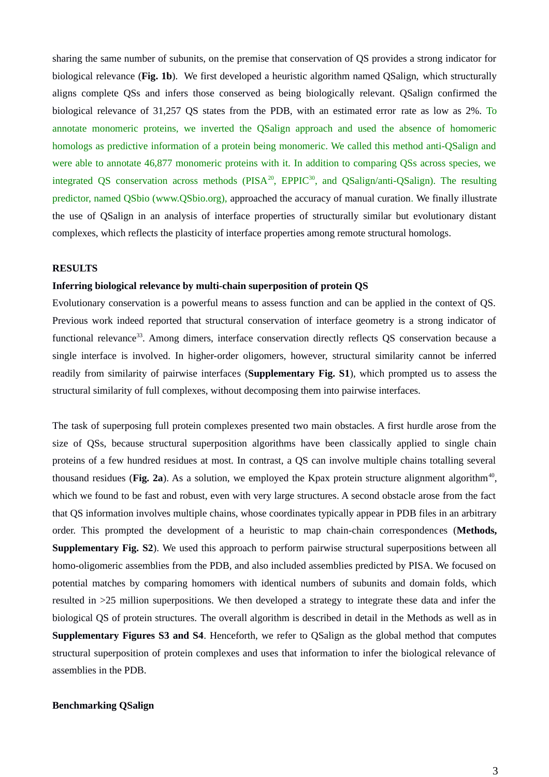sharing the same number of subunits, on the premise that conservation of QS provides a strong indicator for biological relevance (**Fig. 1b**). We first developed a heuristic algorithm named QSalign, which structurally aligns complete QSs and infers those conserved as being biologically relevant. QSalign confirmed the biological relevance of 31,257 QS states from the PDB, with an estimated error rate as low as 2%. To annotate monomeric proteins, we inverted the QSalign approach and used the absence of homomeric homologs as predictive information of a protein being monomeric. We called this method anti-QSalign and were able to annotate 46,877 monomeric proteins with it. In addition to comparing QSs across species, we integrated QS conservation across methods ( $PISA^{20}$ ,  $EPPIC^{30}$ , and  $QSalign/anti-QSalign$ ). The resulting predictor, named QSbio (www.QSbio.org), approached the accuracy of manual curation. We finally illustrate the use of QSalign in an analysis of interface properties of structurally similar but evolutionary distant complexes, which reflects the plasticity of interface properties among remote structural homologs.

### **RESULTS**

### **Inferring biological relevance by multi-chain superposition of protein QS**

Evolutionary conservation is a powerful means to assess function and can be applied in the context of QS. Previous work indeed reported that structural conservation of interface geometry is a strong indicator of functional relevance<sup>33</sup>. Among dimers, interface conservation directly reflects QS conservation because a single interface is involved. In higher-order oligomers, however, structural similarity cannot be inferred readily from similarity of pairwise interfaces (**Supplementary Fig. S1**), which prompted us to assess the structural similarity of full complexes, without decomposing them into pairwise interfaces.

The task of superposing full protein complexes presented two main obstacles. A first hurdle arose from the size of QSs, because structural superposition algorithms have been classically applied to single chain proteins of a few hundred residues at most. In contrast, a QS can involve multiple chains totalling several thousand residues (Fig. 2a). As a solution, we employed the Kpax protein structure alignment algorithm<sup>40</sup>, which we found to be fast and robust, even with very large structures. A second obstacle arose from the fact that QS information involves multiple chains, whose coordinates typically appear in PDB files in an arbitrary order. This prompted the development of a heuristic to map chain-chain correspondences (**Methods, Supplementary Fig. S2**). We used this approach to perform pairwise structural superpositions between all homo-oligomeric assemblies from the PDB, and also included assemblies predicted by PISA. We focused on potential matches by comparing homomers with identical numbers of subunits and domain folds, which resulted in >25 million superpositions. We then developed a strategy to integrate these data and infer the biological QS of protein structures. The overall algorithm is described in detail in the Methods as well as in **Supplementary Figures S3 and S4**. Henceforth, we refer to QSalign as the global method that computes structural superposition of protein complexes and uses that information to infer the biological relevance of assemblies in the PDB.

### **Benchmarking QSalign**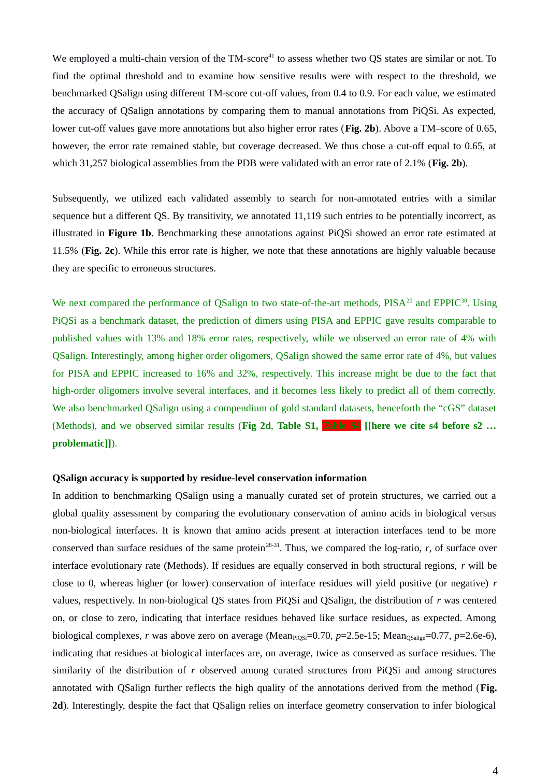We employed a multi-chain version of the  $TM\text{-}score^{41}$  to assess whether two OS states are similar or not. To find the optimal threshold and to examine how sensitive results were with respect to the threshold, we benchmarked QSalign using different TM-score cut-off values, from 0.4 to 0.9. For each value, we estimated the accuracy of QSalign annotations by comparing them to manual annotations from PiQSi. As expected, lower cut-off values gave more annotations but also higher error rates (**Fig. 2b**). Above a TM–score of 0.65, however, the error rate remained stable, but coverage decreased. We thus chose a cut-off equal to 0.65, at which 31,257 biological assemblies from the PDB were validated with an error rate of 2.1% (**Fig. 2b**).

Subsequently, we utilized each validated assembly to search for non-annotated entries with a similar sequence but a different QS. By transitivity, we annotated 11,119 such entries to be potentially incorrect, as illustrated in **Figure 1b**. Benchmarking these annotations against PiQSi showed an error rate estimated at 11.5% (**Fig. 2c**). While this error rate is higher, we note that these annotations are highly valuable because they are specific to erroneous structures.

We next compared the performance of OSalign to two state-of-the-art methods, PISA<sup>20</sup> and EPPIC<sup>30</sup>. Using PiQSi as a benchmark dataset, the prediction of dimers using PISA and EPPIC gave results comparable to published values with 13% and 18% error rates, respectively, while we observed an error rate of 4% with QSalign. Interestingly, among higher order oligomers, QSalign showed the same error rate of 4%, but values for PISA and EPPIC increased to 16% and 32%, respectively. This increase might be due to the fact that high-order oligomers involve several interfaces, and it becomes less likely to predict all of them correctly. We also benchmarked QSalign using a compendium of gold standard datasets, henceforth the "cGS" dataset (Methods), and we observed similar results (**Fig 2d**, **Table S1, Table S4 [[here we cite s4 before s2 … problematic]]**).

### **QSalign accuracy is supported by residue-level conservation information**

In addition to benchmarking QSalign using a manually curated set of protein structures, we carried out a global quality assessment by comparing the evolutionary conservation of amino acids in biological versus non-biological interfaces. It is known that amino acids present at interaction interfaces tend to be more conserved than surface residues of the same protein<sup>28-31</sup>. Thus, we compared the log-ratio,  $r$ , of surface over interface evolutionary rate (Methods). If residues are equally conserved in both structural regions, *r* will be close to 0, whereas higher (or lower) conservation of interface residues will yield positive (or negative) *r* values, respectively. In non-biological QS states from PiQSi and QSalign, the distribution of *r* was centered on, or close to zero, indicating that interface residues behaved like surface residues, as expected. Among biological complexes, *r* was above zero on average (Mean<sub>PiQSi</sub>=0.70, *p*=2.5e-15; Mean<sub>QSalign</sub>=0.77, *p*=2.6e-6), indicating that residues at biological interfaces are, on average, twice as conserved as surface residues. The similarity of the distribution of *r* observed among curated structures from PiQSi and among structures annotated with QSalign further reflects the high quality of the annotations derived from the method (**Fig. 2d**). Interestingly, despite the fact that QSalign relies on interface geometry conservation to infer biological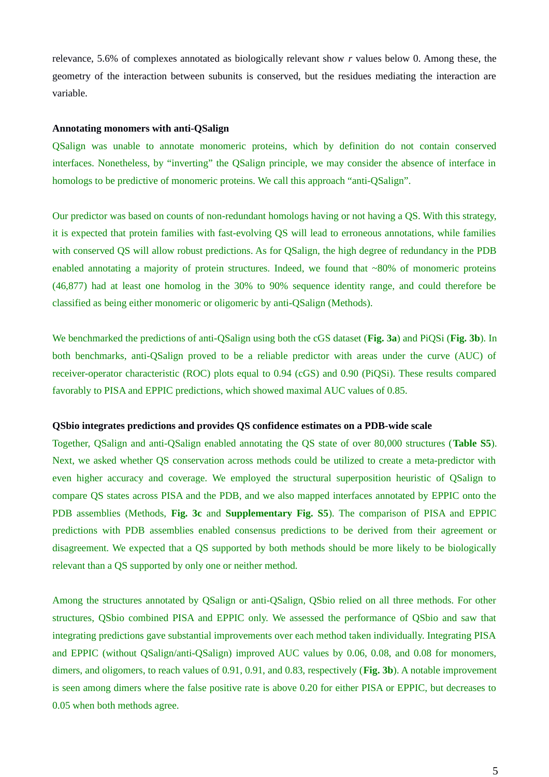relevance, 5.6% of complexes annotated as biologically relevant show *r* values below 0. Among these, the geometry of the interaction between subunits is conserved, but the residues mediating the interaction are variable.

### **Annotating monomers with anti-QSalign**

QSalign was unable to annotate monomeric proteins, which by definition do not contain conserved interfaces. Nonetheless, by "inverting" the QSalign principle, we may consider the absence of interface in homologs to be predictive of monomeric proteins. We call this approach "anti-QSalign".

Our predictor was based on counts of non-redundant homologs having or not having a QS. With this strategy, it is expected that protein families with fast-evolving QS will lead to erroneous annotations, while families with conserved QS will allow robust predictions. As for QSalign, the high degree of redundancy in the PDB enabled annotating a majority of protein structures. Indeed, we found that  $~80\%$  of monomeric proteins (46,877) had at least one homolog in the 30% to 90% sequence identity range, and could therefore be classified as being either monomeric or oligomeric by anti-QSalign (Methods).

We benchmarked the predictions of anti-QSalign using both the cGS dataset (**Fig. 3a**) and PiQSi (**Fig. 3b**). In both benchmarks, anti-QSalign proved to be a reliable predictor with areas under the curve (AUC) of receiver-operator characteristic (ROC) plots equal to 0.94 (cGS) and 0.90 (PiQSi). These results compared favorably to PISA and EPPIC predictions, which showed maximal AUC values of 0.85.

### **QSbio integrates predictions and provides QS confidence estimates on a PDB-wide scale**

Together, QSalign and anti-QSalign enabled annotating the QS state of over 80,000 structures (**Table S5**). Next, we asked whether QS conservation across methods could be utilized to create a meta-predictor with even higher accuracy and coverage. We employed the structural superposition heuristic of QSalign to compare QS states across PISA and the PDB, and we also mapped interfaces annotated by EPPIC onto the PDB assemblies (Methods, **Fig. 3c** and **Supplementary Fig. S5**). The comparison of PISA and EPPIC predictions with PDB assemblies enabled consensus predictions to be derived from their agreement or disagreement. We expected that a QS supported by both methods should be more likely to be biologically relevant than a QS supported by only one or neither method.

Among the structures annotated by QSalign or anti-QSalign, QSbio relied on all three methods. For other structures, QSbio combined PISA and EPPIC only. We assessed the performance of QSbio and saw that integrating predictions gave substantial improvements over each method taken individually. Integrating PISA and EPPIC (without QSalign/anti-QSalign) improved AUC values by 0.06, 0.08, and 0.08 for monomers, dimers, and oligomers, to reach values of 0.91, 0.91, and 0.83, respectively (**Fig. 3b**). A notable improvement is seen among dimers where the false positive rate is above 0.20 for either PISA or EPPIC, but decreases to 0.05 when both methods agree.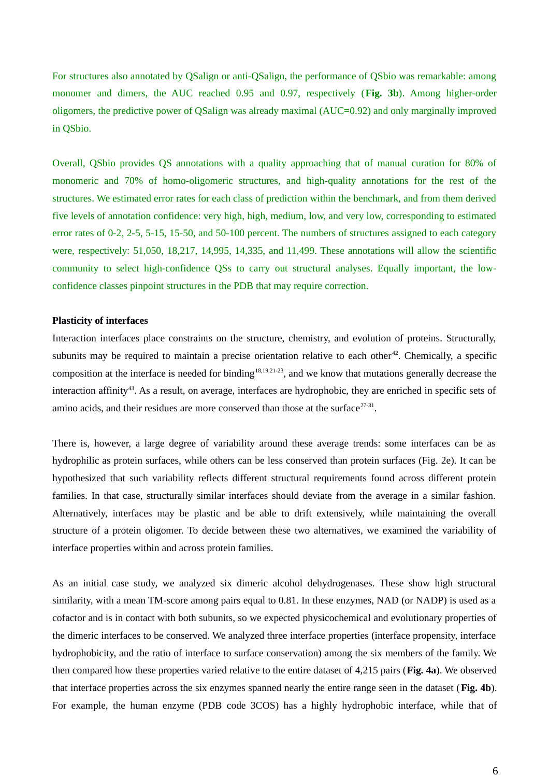For structures also annotated by QSalign or anti-QSalign, the performance of QSbio was remarkable: among monomer and dimers, the AUC reached 0.95 and 0.97, respectively (**Fig. 3b**). Among higher-order oligomers, the predictive power of QSalign was already maximal (AUC=0.92) and only marginally improved in QSbio.

Overall, QSbio provides QS annotations with a quality approaching that of manual curation for 80% of monomeric and 70% of homo-oligomeric structures, and high-quality annotations for the rest of the structures. We estimated error rates for each class of prediction within the benchmark, and from them derived five levels of annotation confidence: very high, high, medium, low, and very low, corresponding to estimated error rates of 0-2, 2-5, 5-15, 15-50, and 50-100 percent. The numbers of structures assigned to each category were, respectively: 51,050, 18,217, 14,995, 14,335, and 11,499. These annotations will allow the scientific community to select high-confidence QSs to carry out structural analyses. Equally important, the lowconfidence classes pinpoint structures in the PDB that may require correction.

### **Plasticity of interfaces**

Interaction interfaces place constraints on the structure, chemistry, and evolution of proteins. Structurally, subunits may be required to maintain a precise orientation relative to each other<sup>42</sup>. Chemically, a specific composition at the interface is needed for binding $18,19,21-23$ , and we know that mutations generally decrease the interaction affinity<sup>43</sup>. As a result, on average, interfaces are hydrophobic, they are enriched in specific sets of amino acids, and their residues are more conserved than those at the surface $27-31$ .

There is, however, a large degree of variability around these average trends: some interfaces can be as hydrophilic as protein surfaces, while others can be less conserved than protein surfaces (Fig. 2e). It can be hypothesized that such variability reflects different structural requirements found across different protein families. In that case, structurally similar interfaces should deviate from the average in a similar fashion. Alternatively, interfaces may be plastic and be able to drift extensively, while maintaining the overall structure of a protein oligomer. To decide between these two alternatives, we examined the variability of interface properties within and across protein families.

As an initial case study, we analyzed six dimeric alcohol dehydrogenases. These show high structural similarity, with a mean TM-score among pairs equal to 0.81. In these enzymes, NAD (or NADP) is used as a cofactor and is in contact with both subunits, so we expected physicochemical and evolutionary properties of the dimeric interfaces to be conserved. We analyzed three interface properties (interface propensity, interface hydrophobicity, and the ratio of interface to surface conservation) among the six members of the family. We then compared how these properties varied relative to the entire dataset of 4,215 pairs (**Fig. 4a**). We observed that interface properties across the six enzymes spanned nearly the entire range seen in the dataset (**Fig. 4b**). For example, the human enzyme (PDB code 3COS) has a highly hydrophobic interface, while that of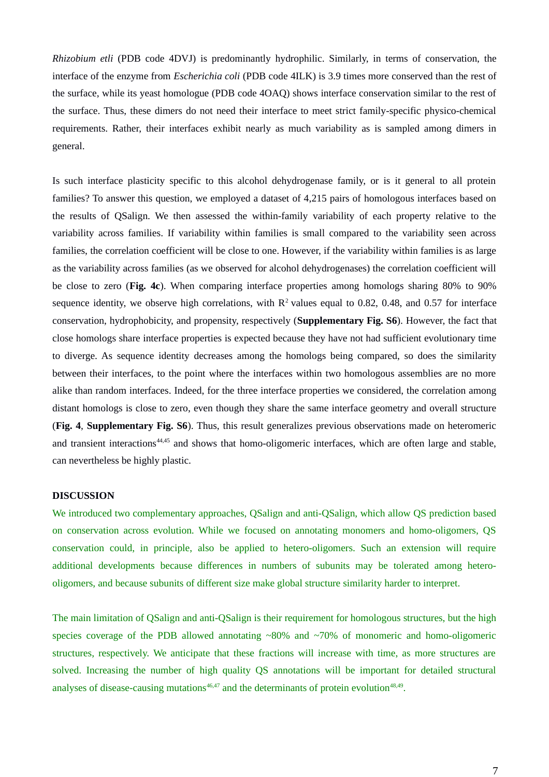*Rhizobium etli* (PDB code 4DVJ) is predominantly hydrophilic. Similarly, in terms of conservation, the interface of the enzyme from *Escherichia coli* (PDB code 4ILK) is 3.9 times more conserved than the rest of the surface, while its yeast homologue (PDB code 4OAQ) shows interface conservation similar to the rest of the surface. Thus, these dimers do not need their interface to meet strict family-specific physico-chemical requirements. Rather, their interfaces exhibit nearly as much variability as is sampled among dimers in general.

Is such interface plasticity specific to this alcohol dehydrogenase family, or is it general to all protein families? To answer this question, we employed a dataset of 4,215 pairs of homologous interfaces based on the results of QSalign. We then assessed the within-family variability of each property relative to the variability across families. If variability within families is small compared to the variability seen across families, the correlation coefficient will be close to one. However, if the variability within families is as large as the variability across families (as we observed for alcohol dehydrogenases) the correlation coefficient will be close to zero (**Fig. 4c**). When comparing interface properties among homologs sharing 80% to 90% sequence identity, we observe high correlations, with  $R^2$  values equal to 0.82, 0.48, and 0.57 for interface conservation, hydrophobicity, and propensity, respectively (**Supplementary Fig. S6**). However, the fact that close homologs share interface properties is expected because they have not had sufficient evolutionary time to diverge. As sequence identity decreases among the homologs being compared, so does the similarity between their interfaces, to the point where the interfaces within two homologous assemblies are no more alike than random interfaces. Indeed, for the three interface properties we considered, the correlation among distant homologs is close to zero, even though they share the same interface geometry and overall structure (**Fig. 4**, **Supplementary Fig. S6**). Thus, this result generalizes previous observations made on heteromeric and transient interactions<sup>44,45</sup> and shows that homo-oligomeric interfaces, which are often large and stable, can nevertheless be highly plastic.

#### **DISCUSSION**

We introduced two complementary approaches, QSalign and anti-QSalign, which allow QS prediction based on conservation across evolution. While we focused on annotating monomers and homo-oligomers, QS conservation could, in principle, also be applied to hetero-oligomers. Such an extension will require additional developments because differences in numbers of subunits may be tolerated among heterooligomers, and because subunits of different size make global structure similarity harder to interpret.

The main limitation of QSalign and anti-QSalign is their requirement for homologous structures, but the high species coverage of the PDB allowed annotating  $~80\%$  and  $~70\%$  of monomeric and homo-oligomeric structures, respectively. We anticipate that these fractions will increase with time, as more structures are solved. Increasing the number of high quality QS annotations will be important for detailed structural analyses of disease-causing mutations $46,47$  and the determinants of protein evolution $48,49$ .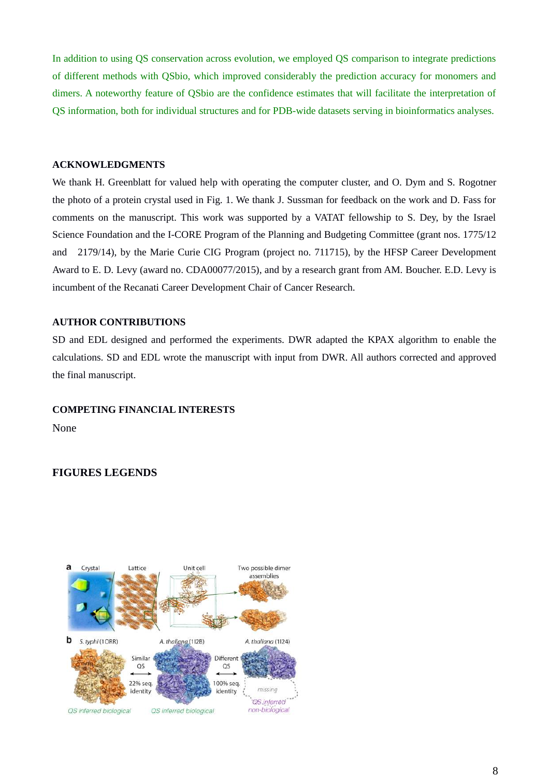In addition to using QS conservation across evolution, we employed QS comparison to integrate predictions of different methods with QSbio, which improved considerably the prediction accuracy for monomers and dimers. A noteworthy feature of QSbio are the confidence estimates that will facilitate the interpretation of QS information, both for individual structures and for PDB-wide datasets serving in bioinformatics analyses.

### **ACKNOWLEDGMENTS**

We thank H. Greenblatt for valued help with operating the computer cluster, and O. Dym and S. Rogotner the photo of a protein crystal used in Fig. 1. We thank J. Sussman for feedback on the work and D. Fass for comments on the manuscript. This work was supported by a VATAT fellowship to S. Dey, by the Israel Science Foundation and the I-CORE Program of the Planning and Budgeting Committee (grant nos. 1775/12 and 2179/14), by the Marie Curie CIG Program (project no. 711715), by the HFSP Career Development Award to E. D. Levy (award no. CDA00077/2015), and by a research grant from AM. Boucher. E.D. Levy is incumbent of the Recanati Career Development Chair of Cancer Research.

### **AUTHOR CONTRIBUTIONS**

SD and EDL designed and performed the experiments. DWR adapted the KPAX algorithm to enable the calculations. SD and EDL wrote the manuscript with input from DWR. All authors corrected and approved the final manuscript.

### **COMPETING FINANCIAL INTERESTS**

None

### **FIGURES LEGENDS**

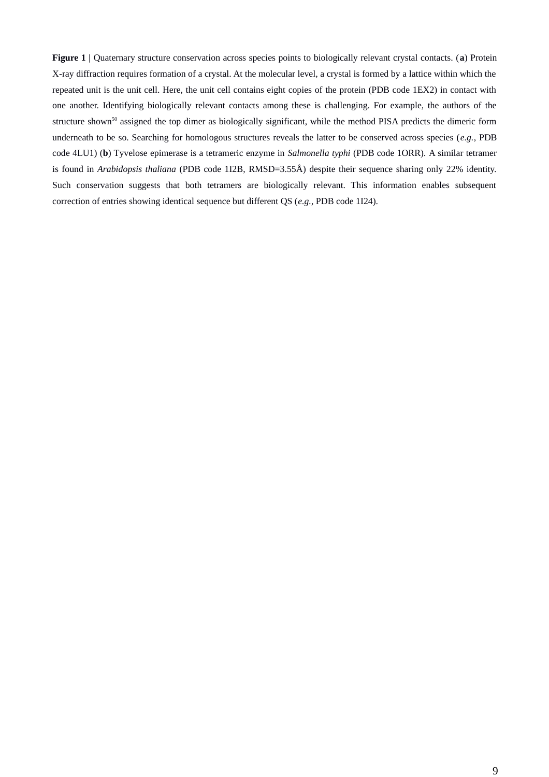**Figure 1 |** Quaternary structure conservation across species points to biologically relevant crystal contacts. (**a**) Protein X-ray diffraction requires formation of a crystal. At the molecular level, a crystal is formed by a lattice within which the repeated unit is the unit cell. Here, the unit cell contains eight copies of the protein (PDB code 1EX2) in contact with one another. Identifying biologically relevant contacts among these is challenging. For example, the authors of the structure shown<sup>50</sup> assigned the top dimer as biologically significant, while the method PISA predicts the dimeric form underneath to be so. Searching for homologous structures reveals the latter to be conserved across species (*e.g.*, PDB code 4LU1) (**b**) Tyvelose epimerase is a tetrameric enzyme in *Salmonella typhi* (PDB code 1ORR)*.* A similar tetramer is found in *Arabidopsis thaliana* (PDB code 1I2B, RMSD=3.55Å) despite their sequence sharing only 22% identity. Such conservation suggests that both tetramers are biologically relevant. This information enables subsequent correction of entries showing identical sequence but different QS (*e.g.*, PDB code 1I24).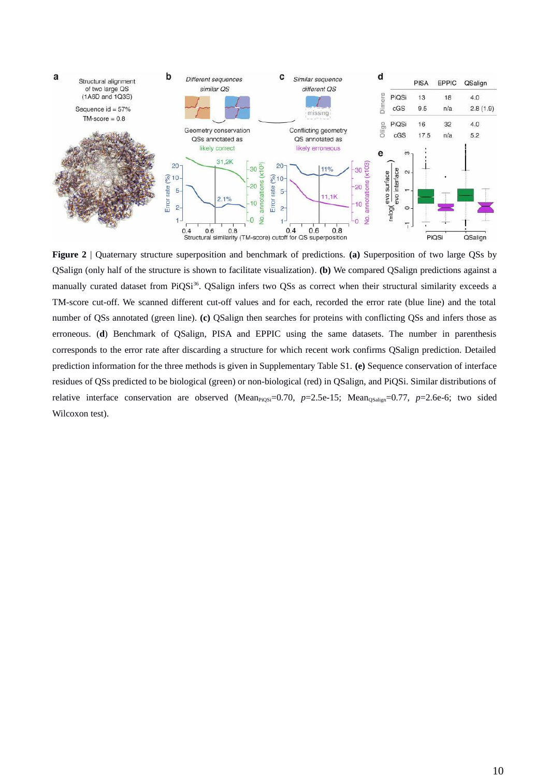

**Figure 2** | Quaternary structure superposition and benchmark of predictions. **(a)** Superposition of two large QSs by QSalign (only half of the structure is shown to facilitate visualization). **(b)** We compared QSalign predictions against a manually curated dataset from PiQSi<sup>36</sup>. QSalign infers two QSs as correct when their structural similarity exceeds a TM-score cut-off. We scanned different cut-off values and for each, recorded the error rate (blue line) and the total number of QSs annotated (green line). **(c)** QSalign then searches for proteins with conflicting QSs and infers those as erroneous. (**d**) Benchmark of QSalign, PISA and EPPIC using the same datasets. The number in parenthesis corresponds to the error rate after discarding a structure for which recent work confirms QSalign prediction. Detailed prediction information for the three methods is given in Supplementary Table S1. **(e)** Sequence conservation of interface residues of QSs predicted to be biological (green) or non-biological (red) in QSalign, and PiQSi. Similar distributions of relative interface conservation are observed (Mean<sub>PiQSi</sub>=0.70, p=2.5e-15; Mean<sub>QSalign</sub>=0.77, p=2.6e-6; two sided Wilcoxon test).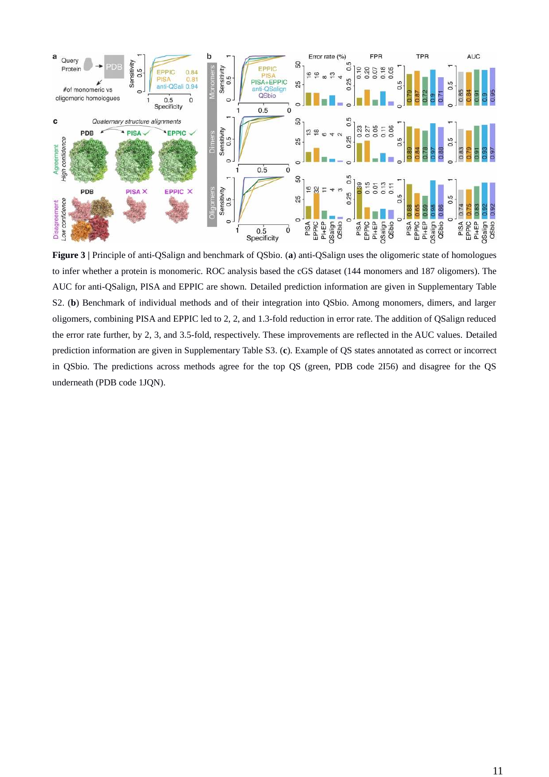

**Figure 3 |** Principle of anti-QSalign and benchmark of QSbio. (**a**) anti-QSalign uses the oligomeric state of homologues to infer whether a protein is monomeric. ROC analysis based the cGS dataset (144 monomers and 187 oligomers). The AUC for anti-QSalign, PISA and EPPIC are shown. Detailed prediction information are given in Supplementary Table S2. (**b**) Benchmark of individual methods and of their integration into QSbio. Among monomers, dimers, and larger oligomers, combining PISA and EPPIC led to 2, 2, and 1.3-fold reduction in error rate. The addition of QSalign reduced the error rate further, by 2, 3, and 3.5-fold, respectively. These improvements are reflected in the AUC values. Detailed prediction information are given in Supplementary Table S3. (**c**). Example of QS states annotated as correct or incorrect in QSbio. The predictions across methods agree for the top QS (green, PDB code 2I56) and disagree for the QS underneath (PDB code 1JQN).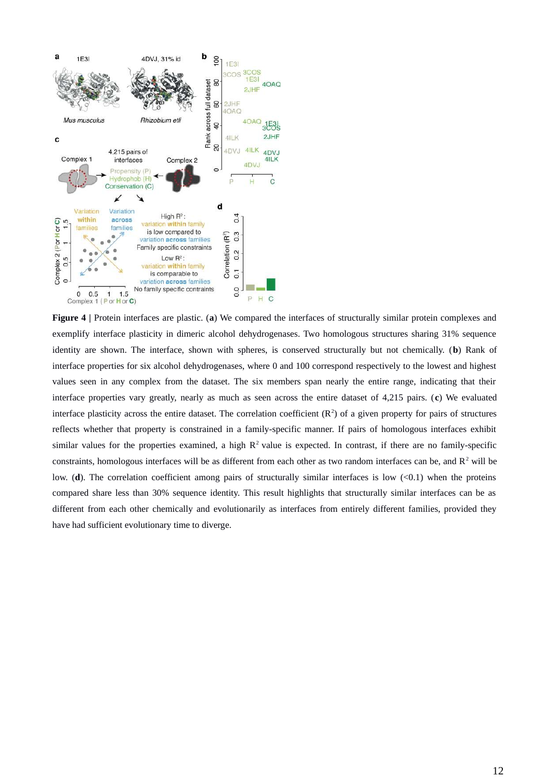

**Figure 4 |** Protein interfaces are plastic. (**a**) We compared the interfaces of structurally similar protein complexes and exemplify interface plasticity in dimeric alcohol dehydrogenases. Two homologous structures sharing 31% sequence identity are shown. The interface, shown with spheres, is conserved structurally but not chemically. (**b**) Rank of interface properties for six alcohol dehydrogenases, where 0 and 100 correspond respectively to the lowest and highest values seen in any complex from the dataset. The six members span nearly the entire range, indicating that their interface properties vary greatly, nearly as much as seen across the entire dataset of 4,215 pairs. (**c**) We evaluated interface plasticity across the entire dataset. The correlation coefficient  $(R^2)$  of a given property for pairs of structures reflects whether that property is constrained in a family-specific manner. If pairs of homologous interfaces exhibit similar values for the properties examined, a high  $R^2$  value is expected. In contrast, if there are no family-specific constraints, homologous interfaces will be as different from each other as two random interfaces can be, and  $R^2$  will be low. (**d**). The correlation coefficient among pairs of structurally similar interfaces is low (<0.1) when the proteins compared share less than 30% sequence identity. This result highlights that structurally similar interfaces can be as different from each other chemically and evolutionarily as interfaces from entirely different families, provided they have had sufficient evolutionary time to diverge.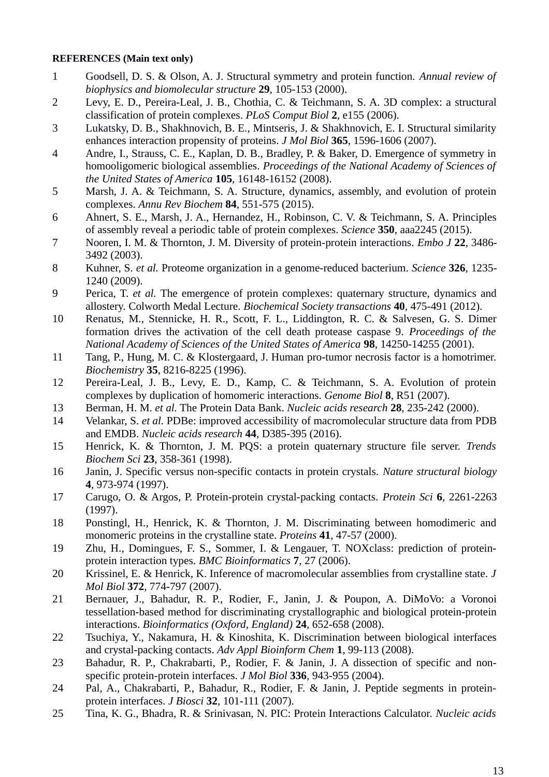### **REFERENCES (Main text only)**

- 1 Goodsell, D. S. & Olson, A. J. Structural symmetry and protein function. *Annual review of biophysics and biomolecular structure* **29**, 105-153 (2000).
- 2 Levy, E. D., Pereira-Leal, J. B., Chothia, C. & Teichmann, S. A. 3D complex: a structural classification of protein complexes. *PLoS Comput Biol* **2**, e155 (2006).
- 3 Lukatsky, D. B., Shakhnovich, B. E., Mintseris, J. & Shakhnovich, E. I. Structural similarity enhances interaction propensity of proteins. *J Mol Biol* **365**, 1596-1606 (2007).
- 4 Andre, I., Strauss, C. E., Kaplan, D. B., Bradley, P. & Baker, D. Emergence of symmetry in homooligomeric biological assemblies. *Proceedings of the National Academy of Sciences of the United States of America* **105**, 16148-16152 (2008).
- 5 Marsh, J. A. & Teichmann, S. A. Structure, dynamics, assembly, and evolution of protein complexes. *Annu Rev Biochem* **84**, 551-575 (2015).
- 6 Ahnert, S. E., Marsh, J. A., Hernandez, H., Robinson, C. V. & Teichmann, S. A. Principles of assembly reveal a periodic table of protein complexes. *Science* **350**, aaa2245 (2015).
- 7 Nooren, I. M. & Thornton, J. M. Diversity of protein-protein interactions. *Embo J* **22**, 3486- 3492 (2003).
- 8 Kuhner, S. *et al.* Proteome organization in a genome-reduced bacterium. *Science* **326**, 1235- 1240 (2009).
- 9 Perica, T. *et al.* The emergence of protein complexes: quaternary structure, dynamics and allostery. Colworth Medal Lecture. *Biochemical Society transactions* **40**, 475-491 (2012).
- 10 Renatus, M., Stennicke, H. R., Scott, F. L., Liddington, R. C. & Salvesen, G. S. Dimer formation drives the activation of the cell death protease caspase 9. *Proceedings of the National Academy of Sciences of the United States of America* **98**, 14250-14255 (2001).
- 11 Tang, P., Hung, M. C. & Klostergaard, J. Human pro-tumor necrosis factor is a homotrimer. *Biochemistry* **35**, 8216-8225 (1996).
- 12 Pereira-Leal, J. B., Levy, E. D., Kamp, C. & Teichmann, S. A. Evolution of protein complexes by duplication of homomeric interactions. *Genome Biol* **8**, R51 (2007).
- 13 Berman, H. M. *et al.* The Protein Data Bank. *Nucleic acids research* **28**, 235-242 (2000).
- 14 Velankar, S. *et al.* PDBe: improved accessibility of macromolecular structure data from PDB and EMDB. *Nucleic acids research* **44**, D385-395 (2016).
- 15 Henrick, K. & Thornton, J. M. PQS: a protein quaternary structure file server. *Trends Biochem Sci* **23**, 358-361 (1998).
- 16 Janin, J. Specific versus non-specific contacts in protein crystals. *Nature structural biology* **4**, 973-974 (1997).
- 17 Carugo, O. & Argos, P. Protein-protein crystal-packing contacts. *Protein Sci* **6**, 2261-2263 (1997).
- 18 Ponstingl, H., Henrick, K. & Thornton, J. M. Discriminating between homodimeric and monomeric proteins in the crystalline state. *Proteins* **41**, 47-57 (2000).
- 19 Zhu, H., Domingues, F. S., Sommer, I. & Lengauer, T. NOXclass: prediction of proteinprotein interaction types. *BMC Bioinformatics* **7**, 27 (2006).
- 20 Krissinel, E. & Henrick, K. Inference of macromolecular assemblies from crystalline state. *J Mol Biol* **372**, 774-797 (2007).
- 21 Bernauer, J., Bahadur, R. P., Rodier, F., Janin, J. & Poupon, A. DiMoVo: a Voronoi tessellation-based method for discriminating crystallographic and biological protein-protein interactions. *Bioinformatics (Oxford, England)* **24**, 652-658 (2008).
- 22 Tsuchiya, Y., Nakamura, H. & Kinoshita, K. Discrimination between biological interfaces and crystal-packing contacts. *Adv Appl Bioinform Chem* **1**, 99-113 (2008).
- 23 Bahadur, R. P., Chakrabarti, P., Rodier, F. & Janin, J. A dissection of specific and nonspecific protein-protein interfaces. *J Mol Biol* **336**, 943-955 (2004).
- 24 Pal, A., Chakrabarti, P., Bahadur, R., Rodier, F. & Janin, J. Peptide segments in proteinprotein interfaces. *J Biosci* **32**, 101-111 (2007).
- 25 Tina, K. G., Bhadra, R. & Srinivasan, N. PIC: Protein Interactions Calculator. *Nucleic acids*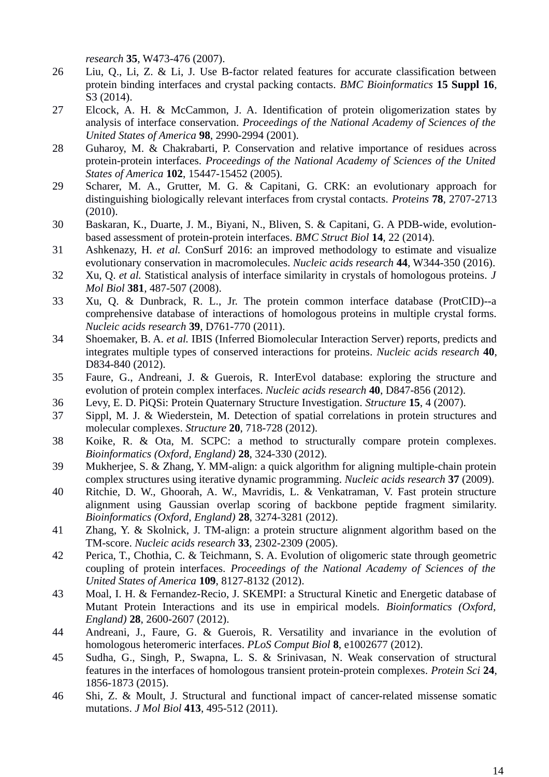*research* **35**, W473-476 (2007).

- 26 Liu, Q., Li, Z. & Li, J. Use B-factor related features for accurate classification between protein binding interfaces and crystal packing contacts. *BMC Bioinformatics* **15 Suppl 16**, S3 (2014).
- 27 Elcock, A. H. & McCammon, J. A. Identification of protein oligomerization states by analysis of interface conservation. *Proceedings of the National Academy of Sciences of the United States of America* **98**, 2990-2994 (2001).
- 28 Guharoy, M. & Chakrabarti, P. Conservation and relative importance of residues across protein-protein interfaces. *Proceedings of the National Academy of Sciences of the United States of America* **102**, 15447-15452 (2005).
- 29 Scharer, M. A., Grutter, M. G. & Capitani, G. CRK: an evolutionary approach for distinguishing biologically relevant interfaces from crystal contacts. *Proteins* **78**, 2707-2713 (2010).
- 30 Baskaran, K., Duarte, J. M., Biyani, N., Bliven, S. & Capitani, G. A PDB-wide, evolutionbased assessment of protein-protein interfaces. *BMC Struct Biol* **14**, 22 (2014).
- 31 Ashkenazy, H. *et al.* ConSurf 2016: an improved methodology to estimate and visualize evolutionary conservation in macromolecules. *Nucleic acids research* **44**, W344-350 (2016).
- 32 Xu, Q. *et al.* Statistical analysis of interface similarity in crystals of homologous proteins. *J Mol Biol* **381**, 487-507 (2008).
- 33 Xu, Q. & Dunbrack, R. L., Jr. The protein common interface database (ProtCID)--a comprehensive database of interactions of homologous proteins in multiple crystal forms. *Nucleic acids research* **39**, D761-770 (2011).
- 34 Shoemaker, B. A. *et al.* IBIS (Inferred Biomolecular Interaction Server) reports, predicts and integrates multiple types of conserved interactions for proteins. *Nucleic acids research* **40**, D834-840 (2012).
- 35 Faure, G., Andreani, J. & Guerois, R. InterEvol database: exploring the structure and evolution of protein complex interfaces. *Nucleic acids research* **40**, D847-856 (2012).
- 36 Levy, E. D. PiQSi: Protein Quaternary Structure Investigation. *Structure* **15**, 4 (2007).
- 37 Sippl, M. J. & Wiederstein, M. Detection of spatial correlations in protein structures and molecular complexes. *Structure* **20**, 718-728 (2012).
- 38 Koike, R. & Ota, M. SCPC: a method to structurally compare protein complexes. *Bioinformatics (Oxford, England)* **28**, 324-330 (2012).
- 39 Mukherjee, S. & Zhang, Y. MM-align: a quick algorithm for aligning multiple-chain protein complex structures using iterative dynamic programming. *Nucleic acids research* **37** (2009).
- 40 Ritchie, D. W., Ghoorah, A. W., Mavridis, L. & Venkatraman, V. Fast protein structure alignment using Gaussian overlap scoring of backbone peptide fragment similarity. *Bioinformatics (Oxford, England)* **28**, 3274-3281 (2012).
- 41 Zhang, Y. & Skolnick, J. TM-align: a protein structure alignment algorithm based on the TM-score. *Nucleic acids research* **33**, 2302-2309 (2005).
- 42 Perica, T., Chothia, C. & Teichmann, S. A. Evolution of oligomeric state through geometric coupling of protein interfaces. *Proceedings of the National Academy of Sciences of the United States of America* **109**, 8127-8132 (2012).
- 43 Moal, I. H. & Fernandez-Recio, J. SKEMPI: a Structural Kinetic and Energetic database of Mutant Protein Interactions and its use in empirical models. *Bioinformatics (Oxford, England)* **28**, 2600-2607 (2012).
- 44 Andreani, J., Faure, G. & Guerois, R. Versatility and invariance in the evolution of homologous heteromeric interfaces. *PLoS Comput Biol* **8**, e1002677 (2012).
- 45 Sudha, G., Singh, P., Swapna, L. S. & Srinivasan, N. Weak conservation of structural features in the interfaces of homologous transient protein-protein complexes. *Protein Sci* **24**, 1856-1873 (2015).
- 46 Shi, Z. & Moult, J. Structural and functional impact of cancer-related missense somatic mutations. *J Mol Biol* **413**, 495-512 (2011).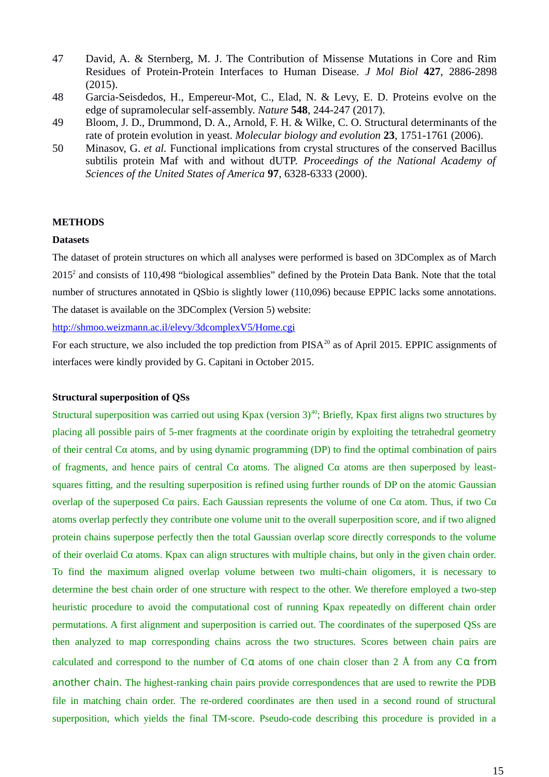- 47 David, A. & Sternberg, M. J. The Contribution of Missense Mutations in Core and Rim Residues of Protein-Protein Interfaces to Human Disease. *J Mol Biol* **427**, 2886-2898 (2015).
- 48 Garcia-Seisdedos, H., Empereur-Mot, C., Elad, N. & Levy, E. D. Proteins evolve on the edge of supramolecular self-assembly. *Nature* **548**, 244-247 (2017).
- 49 Bloom, J. D., Drummond, D. A., Arnold, F. H. & Wilke, C. O. Structural determinants of the rate of protein evolution in yeast. *Molecular biology and evolution* **23**, 1751-1761 (2006).
- 50 Minasov, G. *et al.* Functional implications from crystal structures of the conserved Bacillus subtilis protein Maf with and without dUTP. *Proceedings of the National Academy of Sciences of the United States of America* **97**, 6328-6333 (2000).

### **METHODS**

### **Datasets**

The dataset of protein structures on which all analyses were performed is based on 3DComplex as of March 2015<sup>2</sup> and consists of 110,498 "biological assemblies" defined by the Protein Data Bank. Note that the total number of structures annotated in QSbio is slightly lower (110,096) because EPPIC lacks some annotations. The dataset is available on the 3DComplex (Version 5) website:

http://shmoo.weizmann.ac.il/elevy/3dcomplexV5/Home.cgi

For each structure, we also included the top prediction from  $PISA^{20}$  as of April 2015. EPPIC assignments of interfaces were kindly provided by G. Capitani in October 2015.

### **Structural superposition of QSs**

Structural superposition was carried out using Kpax (version  $3^{40}$ ; Briefly, Kpax first aligns two structures by placing all possible pairs of 5-mer fragments at the coordinate origin by exploiting the tetrahedral geometry of their central  $C\alpha$  atoms, and by using dynamic programming (DP) to find the optimal combination of pairs of fragments, and hence pairs of central  $C\alpha$  atoms. The aligned  $C\alpha$  atoms are then superposed by leastsquares fitting, and the resulting superposition is refined using further rounds of DP on the atomic Gaussian overlap of the superposed  $C\alpha$  pairs. Each Gaussian represents the volume of one  $C\alpha$  atom. Thus, if two  $C\alpha$ atoms overlap perfectly they contribute one volume unit to the overall superposition score, and if two aligned protein chains superpose perfectly then the total Gaussian overlap score directly corresponds to the volume of their overlaid  $C\alpha$  atoms. Kpax can align structures with multiple chains, but only in the given chain order. To find the maximum aligned overlap volume between two multi-chain oligomers, it is necessary to determine the best chain order of one structure with respect to the other. We therefore employed a two-step heuristic procedure to avoid the computational cost of running Kpax repeatedly on different chain order permutations. A first alignment and superposition is carried out. The coordinates of the superposed QSs are then analyzed to map corresponding chains across the two structures. Scores between chain pairs are calculated and correspond to the number of  $C\alpha$  atoms of one chain closer than 2 Å from any  $C\alpha$  from another chain. The highest-ranking chain pairs provide correspondences that are used to rewrite the PDB file in matching chain order. The re-ordered coordinates are then used in a second round of structural superposition, which yields the final TM-score. Pseudo-code describing this procedure is provided in a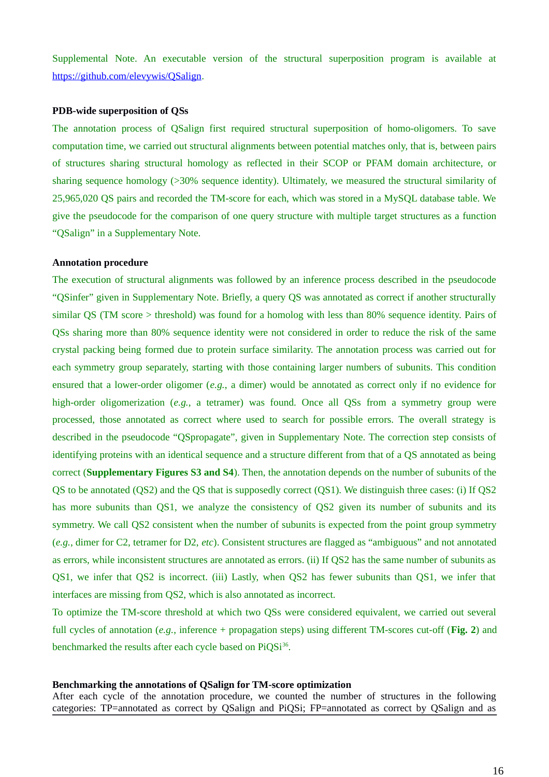Supplemental Note. An executable version of the structural superposition program is available at https://github.com/elevywis/QSalign.

### **PDB-wide superposition of QSs**

The annotation process of QSalign first required structural superposition of homo-oligomers. To save computation time, we carried out structural alignments between potential matches only, that is, between pairs of structures sharing structural homology as reflected in their SCOP or PFAM domain architecture, or sharing sequence homology (>30% sequence identity). Ultimately, we measured the structural similarity of 25,965,020 QS pairs and recorded the TM-score for each, which was stored in a MySQL database table. We give the pseudocode for the comparison of one query structure with multiple target structures as a function "QSalign" in a Supplementary Note.

### **Annotation procedure**

The execution of structural alignments was followed by an inference process described in the pseudocode "QSinfer" given in Supplementary Note. Briefly, a query QS was annotated as correct if another structurally similar QS (TM score > threshold) was found for a homolog with less than 80% sequence identity. Pairs of QSs sharing more than 80% sequence identity were not considered in order to reduce the risk of the same crystal packing being formed due to protein surface similarity. The annotation process was carried out for each symmetry group separately, starting with those containing larger numbers of subunits. This condition ensured that a lower-order oligomer (*e.g.*, a dimer) would be annotated as correct only if no evidence for high-order oligomerization (*e.g.*, a tetramer) was found. Once all QSs from a symmetry group were processed, those annotated as correct where used to search for possible errors. The overall strategy is described in the pseudocode "QSpropagate", given in Supplementary Note. The correction step consists of identifying proteins with an identical sequence and a structure different from that of a QS annotated as being correct (**Supplementary Figures S3 and S4**). Then, the annotation depends on the number of subunits of the QS to be annotated (QS2) and the QS that is supposedly correct (QS1). We distinguish three cases: (i) If QS2 has more subunits than QS1, we analyze the consistency of QS2 given its number of subunits and its symmetry. We call QS2 consistent when the number of subunits is expected from the point group symmetry (*e.g.*, dimer for C2, tetramer for D2, *etc*). Consistent structures are flagged as "ambiguous" and not annotated as errors, while inconsistent structures are annotated as errors. (ii) If QS2 has the same number of subunits as QS1, we infer that QS2 is incorrect. (iii) Lastly, when QS2 has fewer subunits than QS1, we infer that interfaces are missing from QS2, which is also annotated as incorrect.

To optimize the TM-score threshold at which two QSs were considered equivalent, we carried out several full cycles of annotation (*e.g.*, inference + propagation steps) using different TM-scores cut-off (**Fig. 2**) and benchmarked the results after each cycle based on  $PiQSi^{36}$ .

### **Benchmarking the annotations of QSalign for TM-score optimization**

After each cycle of the annotation procedure, we counted the number of structures in the following categories: TP=annotated as correct by QSalign and PiQSi; FP=annotated as correct by QSalign and as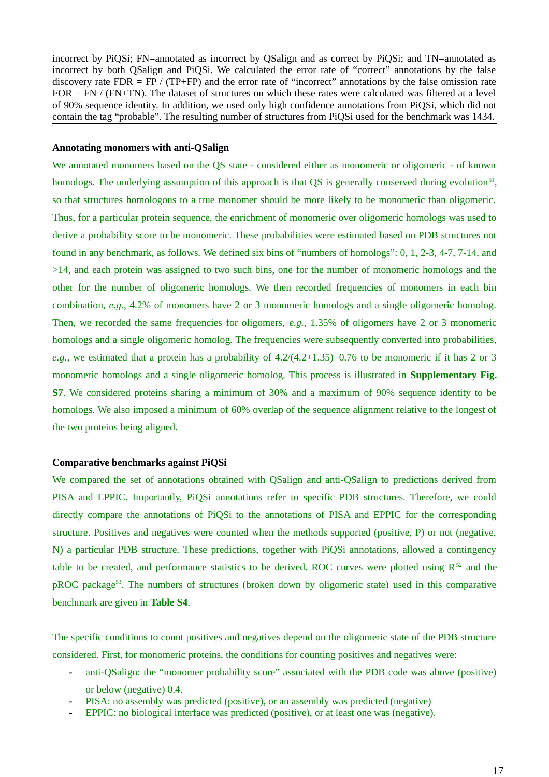incorrect by PiQSi; FN=annotated as incorrect by QSalign and as correct by PiQSi; and TN=annotated as incorrect by both QSalign and PiQSi. We calculated the error rate of "correct" annotations by the false discovery rate  $FDR = FP / (TP+FP)$  and the error rate of "incorrect" annotations by the false omission rate FOR = FN / (FN+TN). The dataset of structures on which these rates were calculated was filtered at a level of 90% sequence identity. In addition, we used only high confidence annotations from PiQSi, which did not contain the tag "probable". The resulting number of structures from PiQSi used for the benchmark was 1434.

### **Annotating monomers with anti-QSalign**

We annotated monomers based on the QS state - considered either as monomeric or oligomeric - of known homologs. The underlying assumption of this approach is that QS is generally conserved during evolution<sup>51</sup>, so that structures homologous to a true monomer should be more likely to be monomeric than oligomeric. Thus, for a particular protein sequence, the enrichment of monomeric over oligomeric homologs was used to derive a probability score to be monomeric. These probabilities were estimated based on PDB structures not found in any benchmark, as follows. We defined six bins of "numbers of homologs": 0, 1, 2-3, 4-7, 7-14, and >14, and each protein was assigned to two such bins, one for the number of monomeric homologs and the other for the number of oligomeric homologs. We then recorded frequencies of monomers in each bin combination, *e.g.*, 4.2% of monomers have 2 or 3 monomeric homologs and a single oligomeric homolog. Then, we recorded the same frequencies for oligomers, *e.g.*, 1.35% of oligomers have 2 or 3 monomeric homologs and a single oligomeric homolog. The frequencies were subsequently converted into probabilities, *e.g.*, we estimated that a protein has a probability of 4.2/(4.2+1.35)=0.76 to be monomeric if it has 2 or 3 monomeric homologs and a single oligomeric homolog. This process is illustrated in **Supplementary Fig. S7**. We considered proteins sharing a minimum of 30% and a maximum of 90% sequence identity to be homologs. We also imposed a minimum of 60% overlap of the sequence alignment relative to the longest of the two proteins being aligned.

### **Comparative benchmarks against PiQSi**

We compared the set of annotations obtained with QSalign and anti-QSalign to predictions derived from PISA and EPPIC. Importantly, PiQSi annotations refer to specific PDB structures. Therefore, we could directly compare the annotations of PiQSi to the annotations of PISA and EPPIC for the corresponding structure. Positives and negatives were counted when the methods supported (positive, P) or not (negative, N) a particular PDB structure. These predictions, together with PiQSi annotations, allowed a contingency table to be created, and performance statistics to be derived. ROC curves were plotted using  $R^{52}$  and the pROC package<sup>53</sup>. The numbers of structures (broken down by oligomeric state) used in this comparative benchmark are given in **Table S4**.

The specific conditions to count positives and negatives depend on the oligomeric state of the PDB structure considered. First, for monomeric proteins, the conditions for counting positives and negatives were:

- **-** anti-QSalign: the "monomer probability score" associated with the PDB code was above (positive) or below (negative) 0.4.
- **-** PISA: no assembly was predicted (positive), or an assembly was predicted (negative)
- **-** EPPIC: no biological interface was predicted (positive), or at least one was (negative).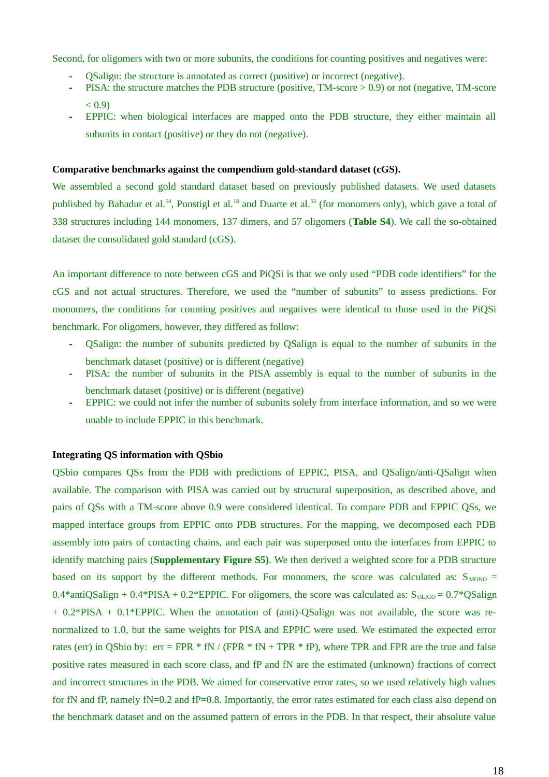Second, for oligomers with two or more subunits, the conditions for counting positives and negatives were:

- **-** QSalign: the structure is annotated as correct (positive) or incorrect (negative).
- **-** PISA: the structure matches the PDB structure (positive, TM-score > 0.9) or not (negative, TM-score  $< 0.9$ )
- **-** EPPIC: when biological interfaces are mapped onto the PDB structure, they either maintain all subunits in contact (positive) or they do not (negative).

### **Comparative benchmarks against the compendium gold-standard dataset (cGS).**

We assembled a second gold standard dataset based on previously published datasets. We used datasets published by Bahadur et al.<sup>54</sup>, Ponstigl et al.<sup>18</sup> and Duarte et al.<sup>55</sup> (for monomers only), which gave a total of 338 structures including 144 monomers, 137 dimers, and 57 oligomers (**Table S4**). We call the so-obtained dataset the consolidated gold standard (cGS).

An important difference to note between cGS and PiQSi is that we only used "PDB code identifiers" for the cGS and not actual structures. Therefore, we used the "number of subunits" to assess predictions. For monomers, the conditions for counting positives and negatives were identical to those used in the PiQSi benchmark. For oligomers, however, they differed as follow:

- **-** QSalign: the number of subunits predicted by QSalign is equal to the number of subunits in the benchmark dataset (positive) or is different (negative)
- PISA: the number of subunits in the PISA assembly is equal to the number of subunits in the benchmark dataset (positive) or is different (negative)
- **-** EPPIC: we could not infer the number of subunits solely from interface information, and so we were unable to include EPPIC in this benchmark.

### **Integrating QS information with QSbio**

QSbio compares QSs from the PDB with predictions of EPPIC, PISA, and QSalign/anti-QSalign when available. The comparison with PISA was carried out by structural superposition, as described above, and pairs of QSs with a TM-score above 0.9 were considered identical. To compare PDB and EPPIC QSs, we mapped interface groups from EPPIC onto PDB structures. For the mapping, we decomposed each PDB assembly into pairs of contacting chains, and each pair was superposed onto the interfaces from EPPIC to identify matching pairs (**Supplementary Figure S5)**. We then derived a weighted score for a PDB structure based on its support by the different methods. For monomers, the score was calculated as:  $S<sub>MONO</sub>$  = 0.4\*antiQSalign + 0.4\*PISA + 0.2\*EPPIC. For oligomers, the score was calculated as:  $S_{O LIGO} = 0.7*QSalign$ + 0.2\*PISA + 0.1\*EPPIC. When the annotation of (anti)-QSalign was not available, the score was renormalized to 1.0, but the same weights for PISA and EPPIC were used. We estimated the expected error rates (err) in QSbio by:  $err = FPR * fN / (FPR * fN + TPR * fP)$ , where TPR and FPR are the true and false positive rates measured in each score class, and fP and fN are the estimated (unknown) fractions of correct and incorrect structures in the PDB. We aimed for conservative error rates, so we used relatively high values for fN and fP, namely fN=0.2 and fP=0.8. Importantly, the error rates estimated for each class also depend on the benchmark dataset and on the assumed pattern of errors in the PDB. In that respect, their absolute value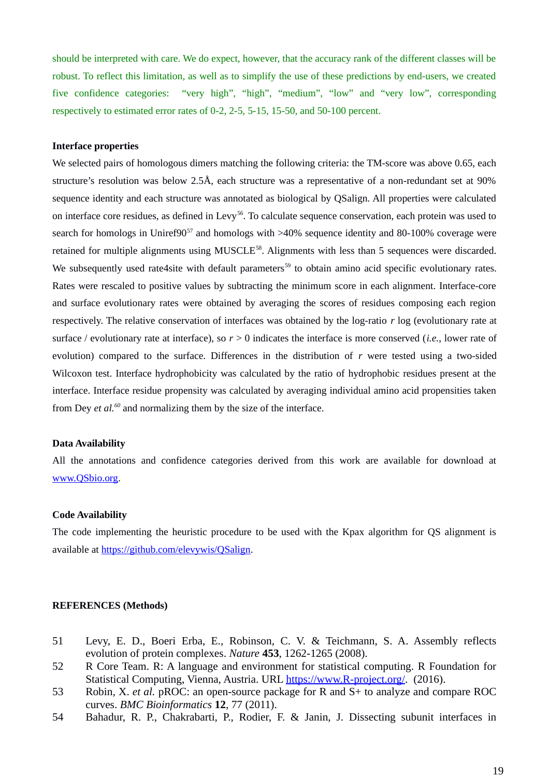should be interpreted with care. We do expect, however, that the accuracy rank of the different classes will be robust. To reflect this limitation, as well as to simplify the use of these predictions by end-users, we created five confidence categories: "very high", "high", "medium", "low" and "very low", corresponding respectively to estimated error rates of 0-2, 2-5, 5-15, 15-50, and 50-100 percent.

### **Interface properties**

We selected pairs of homologous dimers matching the following criteria: the TM-score was above 0.65, each structure's resolution was below 2.5Å, each structure was a representative of a non-redundant set at 90% sequence identity and each structure was annotated as biological by QSalign. All properties were calculated on interface core residues, as defined in Levy<sup>56</sup>. To calculate sequence conservation, each protein was used to search for homologs in Uniref $90^{57}$  and homologs with  $>40\%$  sequence identity and 80-100% coverage were retained for multiple alignments using MUSCLE<sup>58</sup>. Alignments with less than 5 sequences were discarded. We subsequently used rate4site with default parameters<sup>59</sup> to obtain amino acid specific evolutionary rates. Rates were rescaled to positive values by subtracting the minimum score in each alignment. Interface-core and surface evolutionary rates were obtained by averaging the scores of residues composing each region respectively. The relative conservation of interfaces was obtained by the log-ratio *r* log (evolutionary rate at surface / evolutionary rate at interface), so *r* > 0 indicates the interface is more conserved (*i.e.*, lower rate of evolution) compared to the surface. Differences in the distribution of *r* were tested using a two-sided Wilcoxon test. Interface hydrophobicity was calculated by the ratio of hydrophobic residues present at the interface. Interface residue propensity was calculated by averaging individual amino acid propensities taken from Dey *et al.<sup>60</sup>* and normalizing them by the size of the interface.

### **Data Availability**

All the annotations and confidence categories derived from this work are available for download at www.QSbio.org.

### **Code Availability**

The code implementing the heuristic procedure to be used with the Kpax algorithm for QS alignment is available at https://github.com/elevywis/QSalign.

### **REFERENCES (Methods)**

- 51 Levy, E. D., Boeri Erba, E., Robinson, C. V. & Teichmann, S. A. Assembly reflects evolution of protein complexes. *Nature* **453**, 1262-1265 (2008).
- 52 R Core Team. R: A language and environment for statistical computing. R Foundation for Statistical Computing, Vienna, Austria. URL https://www.R-project.org/. (2016).
- 53 Robin, X. *et al.* pROC: an open-source package for R and S+ to analyze and compare ROC curves. *BMC Bioinformatics* **12**, 77 (2011).
- 54 Bahadur, R. P., Chakrabarti, P., Rodier, F. & Janin, J. Dissecting subunit interfaces in